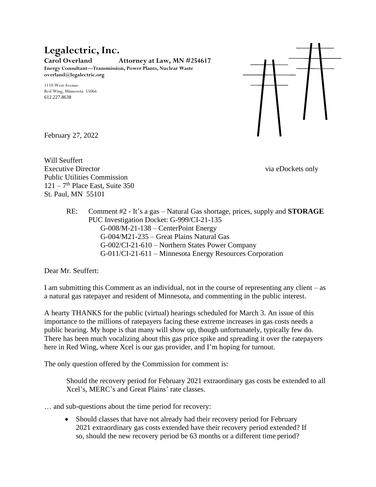## **Legalectric, Inc.**

**Carol Overland Attorney at Law, MN #254617 Energy Consultant—Transmission, Power Plants, Nuclear Waste overland@legalectric.org**

1110 West Avenue Red Wing, Minnesota 55066 612.227.8638



February 27, 2022

Will Seuffert Executive Director via eDockets only Public Utilities Commission  $121 - 7$ <sup>th</sup> Place East, Suite 350 St. Paul, MN 55101

RE: Comment #2 - It's a gas – Natural Gas shortage, prices, supply and **STORAGE** PUC Investigation Docket: G-999/CI-21-135 G-008/M-21-138 – CenterPoint Energy G-004/M21-235 – Great Plains Natural Gas G-002/CI-21-610 – Northern States Power Company G-011/CI-21-611 – Minnesota Energy Resources Corporation

Dear Mr. Seuffert:

I am submitting this Comment as an individual, not in the course of representing any client – as a natural gas ratepayer and resident of Minnesota, and commenting in the public interest.

A hearty THANKS for the public (virtual) hearings scheduled for March 3. An issue of this importance to the millions of ratepayers facing these extreme increases in gas costs needs a public hearing. My hope is that many will show up, though unfortunately, typically few do. There has been much vocalizing about this gas price spike and spreading it over the ratepayers here in Red Wing, where Xcel is our gas provider, and I'm hoping for turnout.

The only question offered by the Commission for comment is:

Should the recovery period for February 2021 extraordinary gas costs be extended to all Xcel's, MERC's and Great Plains' rate classes.

- … and sub-questions about the time period for recovery:
	- Should classes that have not already had their recovery period for February 2021 extraordinary gas costs extended have their recovery period extended? If so, should the new recovery period be 63 months or a different time period?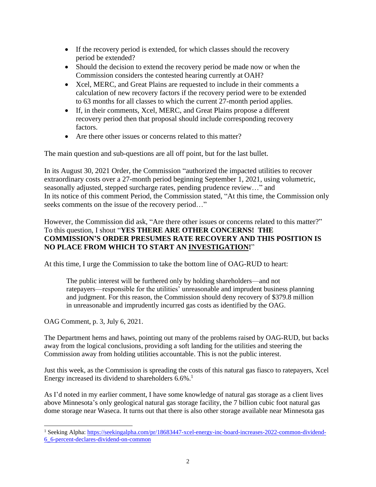- If the recovery period is extended, for which classes should the recovery period be extended?
- Should the decision to extend the recovery period be made now or when the Commission considers the contested hearing currently at OAH?
- Xcel, MERC, and Great Plains are requested to include in their comments a calculation of new recovery factors if the recovery period were to be extended to 63 months for all classes to which the current 27-month period applies.
- If, in their comments, Xcel, MERC, and Great Plains propose a different recovery period then that proposal should include corresponding recovery factors.
- Are there other issues or concerns related to this matter?

The main question and sub-questions are all off point, but for the last bullet.

In its August 30, 2021 Order, the Commission "authorized the impacted utilities to recover extraordinary costs over a 27-month period beginning September 1, 2021, using volumetric, seasonally adjusted, stepped surcharge rates, pending prudence review…" and In its notice of this comment Period, the Commission stated, "At this time, the Commission only seeks comments on the issue of the recovery period..."

However, the Commission did ask, "Are there other issues or concerns related to this matter?" To this question, I shout "**YES THERE ARE OTHER CONCERNS! THE COMMISSION'S ORDER PRESUMES RATE RECOVERY AND THIS POSITION IS NO PLACE FROM WHICH TO START AN INVESTIGATION!**"

At this time, I urge the Commission to take the bottom line of OAG-RUD to heart:

The public interest will be furthered only by holding shareholders—and not ratepayers—responsible for the utilities' unreasonable and imprudent business planning and judgment. For this reason, the Commission should deny recovery of \$379.8 million in unreasonable and imprudently incurred gas costs as identified by the OAG.

OAG Comment, p. 3, July 6, 2021.

The Department hems and haws, pointing out many of the problems raised by OAG-RUD, but backs away from the logical conclusions, providing a soft landing for the utilities and steering the Commission away from holding utilities accountable. This is not the public interest.

Just this week, as the Commission is spreading the costs of this natural gas fiasco to ratepayers, Xcel Energy increased its dividend to shareholders  $6.6\%$ .<sup>1</sup>

As I'd noted in my earlier comment, I have some knowledge of natural gas storage as a client lives above Minnesota's only geological natural gas storage facility, the 7 billion cubic foot natural gas dome storage near Waseca. It turns out that there is also other storage available near Minnesota gas

<sup>&</sup>lt;sup>1</sup> Seeking Alpha: [https://seekingalpha.com/pr/18683447-xcel-energy-inc-board-increases-2022-common-dividend-](https://seekingalpha.com/pr/18683447-xcel-energy-inc-board-increases-2022-common-dividend-6_6-percent-declares-dividend-on-common)[6\\_6-percent-declares-dividend-on-common](https://seekingalpha.com/pr/18683447-xcel-energy-inc-board-increases-2022-common-dividend-6_6-percent-declares-dividend-on-common)